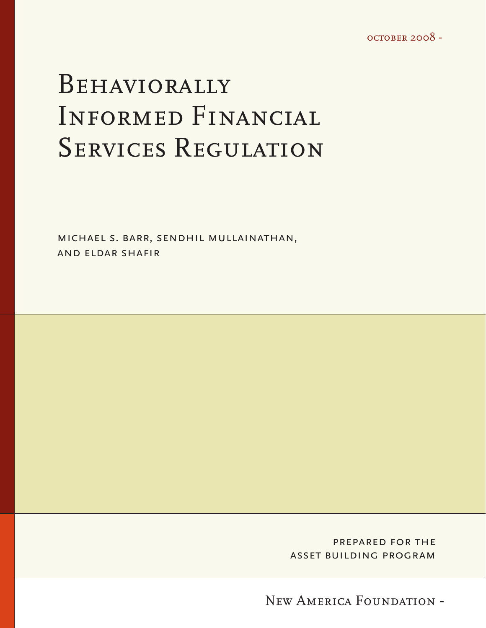

# Behaviorally Informed Financial SERVICES REGULATION

 michael s. barr, sendhil mullainathan, and eldar shafir

> prepared for the asset building program

NEW AMERICA FOUNDATION -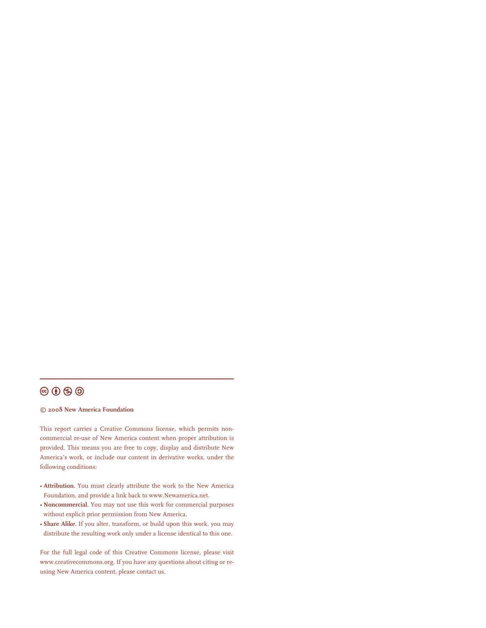# $@ @ @ @$

**© 2008 New America Foundation** 

 commercial re-use of New America content when proper attribution is provided. This means you are free to copy, display and distribute New America's work, or include our content in derivative works, under the This report carries a Creative Commons license, which permits nonfollowing conditions:

- • **Attribution.** You must clearly attribute the work to the New America Foundation, and provide a link back to www.Newamerica.net.
- • **Noncommercial.** You may not use this work for commercial purposes without explicit prior permission from New America.
- **Share Alike.** If you alter, transform, or build upon this work, you may distribute the resulting work only under a license identical to this one.

For the full legal code of this Creative Commons license, please visit www.creativecommons.org. If you have any questions about citing or reusing New America content, please contact us.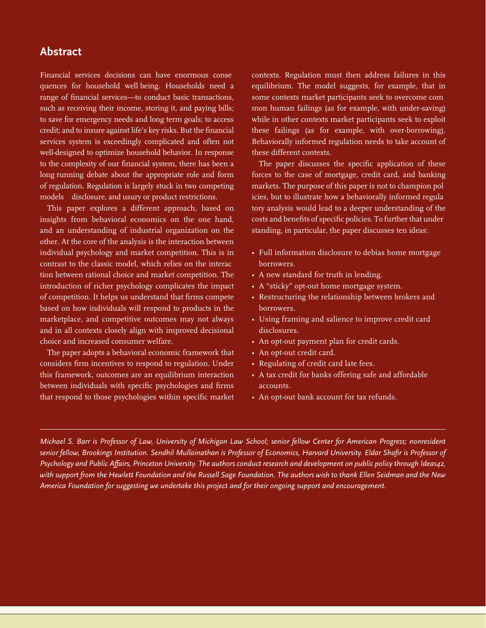# **Abstract**

Financial services decisions can have enormous conse - Financial services decisions can have enormous conse quences for household well being. Households need a such as receiving their income, storing it, and paying bills; to save for emergency needs and long term goals; to access services system is exceedingly complicated and often not to the complexity of our financial system, there has been a long running debate about the appropriate role and form models disclosure, and usury or product restrictions. range of financial services—to conduct basic transactions, credit; and to insure against life's key risks. But the financial well-designed to optimize household behavior. In response of regulation. Regulation is largely stuck in two competing

contrast to the classic model, which relies on the interac This paper explores a different approach, based on insights from behavioral economics on the one hand, and an understanding of industrial organization on the other. At the core of the analysis is the interaction between individual psychology and market competition. This is in tion between rational choice and market competition. The introduction of richer psychology complicates the impact of competition. It helps us understand that firms compete based on how individuals will respond to products in the marketplace, and competitive outcomes may not always and in all contexts closely align with improved decisional choice and increased consumer welfare.

The paper adopts a behavioral economic framework that considers firm incentives to respond to regulation. Under this framework, outcomes are an equilibrium interaction between individuals with specific psychologies and firms that respond to those psychologies within specific market some contexts market participants seek to overcome com contexts. Regulation must then address failures in this equilibrium. The model suggests, for example, that in mon human failings (as for example, with under-saving) while in other contexts market participants seek to exploit these failings (as for example, with over-borrowing). Behaviorally informed regulation needs to take account of these different contexts.

markets. The purpose of this paper is not to champion pol icies, but to illustrate how a behaviorally informed regula costs and benefits of specific policies. To further that under The paper discusses the specific application of these forces to the case of mortgage, credit card, and banking tory analysis would lead to a deeper understanding of the standing, in particular, the paper discusses ten ideas:

- • Full information disclosure to debias home mortgage borrowers.
- A new standard for truth in lending.
- A "sticky" opt-out home mortgage system.
- Restructuring the relationship between brokers and borrowers.
- • Using framing and salience to improve credit card disclosures.
- An opt-out payment plan for credit cards.
- An opt-out credit card.
- Regulating of credit card late fees.
- • A tax credit for banks offering safe and affordable accounts.
- An opt-out bank account for tax refunds.

*Michael S. Barr is Professor of Law, University of Michigan Law School; senior fellow Center for American Progress; nonresident senior fellow, Brookings Institution. Sendhil Mullainathan is Professor of Economics, Harvard University. Eldar Shafir is Professor of Psychology and Public Affairs, Princeton University. The authors conduct research and development on public policy through Ideas42, with support from the Hewlett Foundation and the Russell Sage Foundation. The authors wish to thank Ellen Seidman and the New America Foundation for suggesting we undertake this project and for their ongoing support and encouragement.*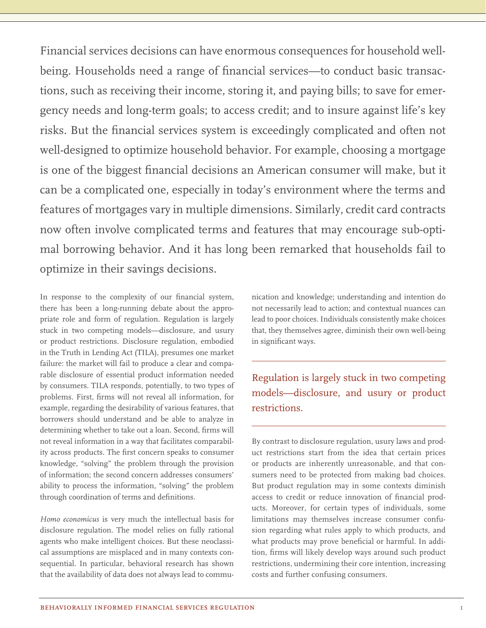Financial services decisions can have enormous consequences for household wellbeing. Households need a range of financial services—to conduct basic transactions, such as receiving their income, storing it, and paying bills; to save for emergency needs and long-term goals; to access credit; and to insure against life's key risks. But the financial services system is exceedingly complicated and often not well-designed to optimize household behavior. For example, choosing a mortgage is one of the biggest financial decisions an American consumer will make, but it can be a complicated one, especially in today's environment where the terms and features of mortgages vary in multiple dimensions. Similarly, credit card contracts now often involve complicated terms and features that may encourage sub-optimal borrowing behavior. And it has long been remarked that households fail to optimize in their savings decisions.

In response to the complexity of our financial system, there has been a long-running debate about the appropriate role and form of regulation. Regulation is largely stuck in two competing models—disclosure, and usury or product restrictions. Disclosure regulation, embodied in the Truth in Lending Act (TILA), presumes one market failure: the market will fail to produce a clear and comparable disclosure of essential product information needed by consumers. TILA responds, potentially, to two types of problems. First, firms will not reveal all information, for example, regarding the desirability of various features, that borrowers should understand and be able to analyze in determining whether to take out a loan. Second, firms will not reveal information in a way that facilitates comparability across products. The first concern speaks to consumer knowledge, "solving" the problem through the provision of information; the second concern addresses consumers' ability to process the information, "solving" the problem through coordination of terms and definitions.

*Homo economicus* is very much the intellectual basis for disclosure regulation. The model relies on fully rational agents who make intelligent choices. But these neoclassical assumptions are misplaced and in many contexts consequential. In particular, behavioral research has shown that the availability of data does not always lead to commu-

nication and knowledge; understanding and intention do not necessarily lead to action; and contextual nuances can lead to poor choices. Individuals consistently make choices that, they themselves agree, diminish their own well-being in significant ways.

Regulation is largely stuck in two competing models—disclosure, and usury or product restrictions.

 uct restrictions start from the idea that certain prices tion, firms will likely develop ways around such product restrictions, undermining their core intention, increasing By contrast to disclosure regulation, usury laws and prodor products are inherently unreasonable, and that consumers need to be protected from making bad choices. But product regulation may in some contexts diminish access to credit or reduce innovation of financial products. Moreover, for certain types of individuals, some limitations may themselves increase consumer confusion regarding what rules apply to which products, and what products may prove beneficial or harmful. In addicosts and further confusing consumers.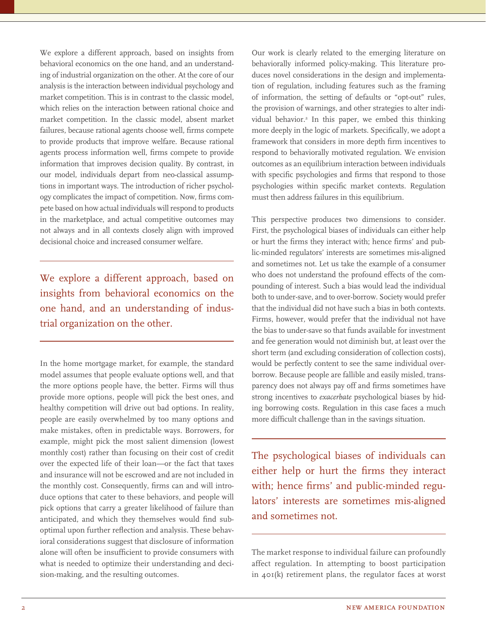We explore a different approach, based on insights from ing of industrial organization on the other. At the core of our analysis is the interaction between individual psychology and market competition. This is in contrast to the classic model, market competition. In the classic model, absent market to provide products that improve welfare. Because rational agents process information well, firms compete to provide pete based on how actual individuals will respond to products in the marketplace, and actual competitive outcomes may not always and in all contexts closely align with improved behavioral economics on the one hand, and an understandwhich relies on the interaction between rational choice and failures, because rational agents choose well, firms compete information that improves decision quality. By contrast, in our model, individuals depart from neo-classical assumptions in important ways. The introduction of richer psychology complicates the impact of competition. Now, firms comdecisional choice and increased consumer welfare.

We explore a different approach, based on insights from behavioral economics on the one hand, and an understanding of industrial organization on the other.

In the home mortgage market, for example, the standard model assumes that people evaluate options well, and that the more options people have, the better. Firms will thus provide more options, people will pick the best ones, and healthy competition will drive out bad options. In reality, people are easily overwhelmed by too many options and make mistakes, often in predictable ways. Borrowers, for example, might pick the most salient dimension (lowest monthly cost) rather than focusing on their cost of credit over the expected life of their loan—or the fact that taxes and insurance will not be escrowed and are not included in the monthly cost. Consequently, firms can and will introduce options that cater to these behaviors, and people will pick options that carry a greater likelihood of failure than anticipated, and which they themselves would find suboptimal upon further reflection and analysis. These behavioral considerations suggest that disclosure of information alone will often be insufficient to provide consumers with what is needed to optimize their understanding and decision-making, and the resulting outcomes.

 tion of regulation, including features such as the framing vidual behavior.<sup>2</sup> In this paper, we embed this thinking more deeply in the logic of markets. Specifically, we adopt a framework that considers in more depth firm incentives to outcomes as an equilibrium interaction between individuals with specific psychologies and firms that respond to those psychologies within specific market contexts. Regulation Our work is clearly related to the emerging literature on behaviorally informed policy-making. This literature produces novel considerations in the design and implementaof information, the setting of defaults or "opt-out" rules, the provision of warnings, and other strategies to alter indirespond to behaviorally motivated regulation. We envision must then address failures in this equilibrium.

 This perspective produces two dimensions to consider. lic-minded regulators' interests are sometimes mis-aligned and sometimes not. Let us take the example of a consumer both to under-save, and to over-borrow. Society would prefer the bias to under-save so that funds available for investment and fee generation would not diminish but, at least over the short term (and excluding consideration of collection costs), parency does not always pay off and firms sometimes have First, the psychological biases of individuals can either help or hurt the firms they interact with; hence firms' and pubwho does not understand the profound effects of the compounding of interest. Such a bias would lead the individual that the individual did not have such a bias in both contexts. Firms, however, would prefer that the individual not have would be perfectly content to see the same individual overborrow. Because people are fallible and easily misled, transstrong incentives to *exacerbate* psychological biases by hiding borrowing costs. Regulation in this case faces a much more difficult challenge than in the savings situation.

The psychological biases of individuals can either help or hurt the firms they interact with; hence firms' and public-minded regulators' interests are sometimes mis-aligned and sometimes not.

 The market response to individual failure can profoundly affect regulation. In attempting to boost participation in 401(k) retirement plans, the regulator faces at worst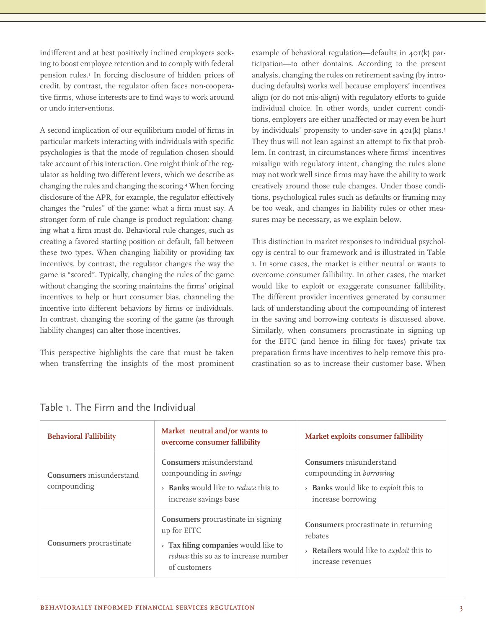indifferent and at best positively inclined employers seeking to boost employee retention and to comply with federal pension rules.3 In forcing disclosure of hidden prices of credit, by contrast, the regulator often faces non-cooperative firms, whose interests are to find ways to work around or undo interventions.

 A second implication of our equilibrium model of firms in particular markets interacting with individuals with specific ulator as holding two different levers, which we describe as changing the rules and changing the scoring.4 When forcing disclosure of the APR, for example, the regulator effectively changes the "rules" of the game: what a firm must say. A ing what a firm must do. Behavioral rule changes, such as creating a favored starting position or default, fall between incentives, by contrast, the regulator changes the way the incentives to help or hurt consumer bias, channeling the incentive into different behaviors by firms or individuals. liability changes) can alter those incentives. psychologies is that the mode of regulation chosen should take account of this interaction. One might think of the regstronger form of rule change is product regulation: changthese two types. When changing liability or providing tax game is "scored". Typically, changing the rules of the game without changing the scoring maintains the firms' original In contrast, changing the scoring of the game (as through

This perspective highlights the care that must be taken when transferring the insights of the most prominent example of behavioral regulation—defaults in 401(k) participation—to other domains. According to the present analysis, changing the rules on retirement saving (by introducing defaults) works well because employers' incentives align (or do not mis-align) with regulatory efforts to guide individual choice. In other words, under current conditions, employers are either unaffected or may even be hurt by individuals' propensity to under-save in 401(k) plans.5 They thus will not lean against an attempt to fix that problem. In contrast, in circumstances where firms' incentives misalign with regulatory intent, changing the rules alone may not work well since firms may have the ability to work creatively around those rule changes. Under those conditions, psychological rules such as defaults or framing may be too weak, and changes in liability rules or other measures may be necessary, as we explain below.

This distinction in market responses to individual psychology is central to our framework and is illustrated in Table 1. In some cases, the market is either neutral or wants to overcome consumer fallibility. In other cases, the market would like to exploit or exaggerate consumer fallibility. The different provider incentives generated by consumer lack of understanding about the compounding of interest in the saving and borrowing contexts is discussed above. Similarly, when consumers procrastinate in signing up for the EITC (and hence in filing for taxes) private tax preparation firms have incentives to help remove this procrastination so as to increase their customer base. When

| <b>Behavioral Fallibility</b>          | Market neutral and/or wants to<br>overcome consumer fallibility                                                                                          | Market exploits consumer fallibility                                                                                                                |
|----------------------------------------|----------------------------------------------------------------------------------------------------------------------------------------------------------|-----------------------------------------------------------------------------------------------------------------------------------------------------|
| Consumers misunderstand<br>compounding | <b>Consumers</b> misunderstand<br>compounding in savings<br>$\rightarrow$ <b>Banks</b> would like to <i>reduce</i> this to<br>increase savings base      | <b>Consumers</b> misunderstand<br>compounding in borrowing<br>$\rightarrow$ <b>Banks</b> would like to <i>exploit</i> this to<br>increase borrowing |
| Consumers procrastinate                | Consumers procrastinate in signing<br>up for EITC<br>> Tax filing companies would like to<br><i>reduce</i> this so as to increase number<br>of customers | Consumers procrastinate in returning<br>rebates<br>> Retailers would like to <i>exploit</i> this to<br>increase revenues                            |

#### Table 1. The Firm and the Individual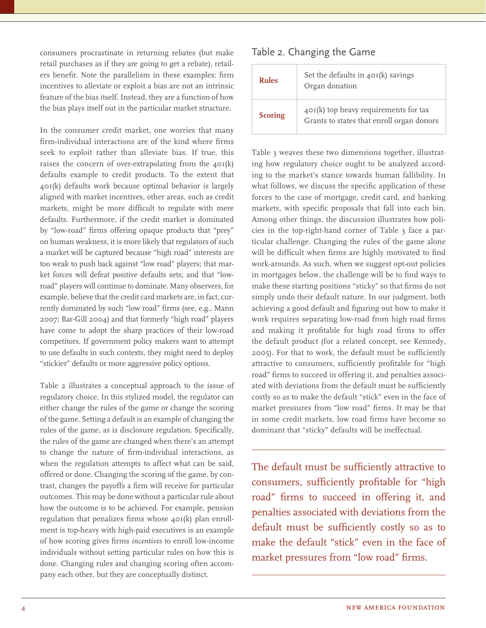consumers procrastinate in returning rebates (but make retail purchases as if they are going to get a rebate), retailers benefit. Note the parallelism in these examples: firm incentives to alleviate or exploit a bias are not an intrinsic feature of the bias itself. Instead, they are a function of how the bias plays itself out in the particular market structure.

 raises the concern of over-extrapolating from the 401(k) by "low-road" firms offering opaque products that "prey" on human weakness, it is more likely that regulators of such road" players will continue to dominate. Many observers, for 2007; Bar-Gill 2004) and that formerly "high road" players have come to adopt the sharp practices of their low-road competitors. If government policy makers want to attempt In the consumer credit market, one worries that many firm-individual interactions are of the kind where firms seek to exploit rather than alleviate bias. If true, this defaults example to credit products. To the extent that 401(k) defaults work because optimal behavior is largely aligned with market incentives, other areas, such as credit markets, might be more difficult to regulate with mere defaults. Furthermore, if the credit market is dominated a market will be captured because "high road" interests are too weak to push back against "low road" players; that market forces will defeat positive defaults sets; and that "lowexample, believe that the credit card markets are, in fact, currently dominated by such "low road" firms (see, e.g., Mann to use defaults in such contexts, they might need to deploy "stickier" defaults or more aggressive policy options.

Table 2 illustrates a conceptual approach to the issue of regulatory choice. In this stylized model, the regulator can either change the rules of the game or change the scoring of the game. Setting a default is an example of changing the rules of the game, as is disclosure regulation. Specifically, the rules of the game are changed when there's an attempt to change the nature of firm-individual interactions, as when the regulation attempts to affect what can be said, offered or done. Changing the scoring of the game, by contrast, changes the payoffs a firm will receive for particular outcomes. This may be done without a particular rule about how the outcome is to be achieved. For example, pension regulation that penalizes firms whose 401(k) plan enrollment is top-heavy with high-paid executives is an example of how scoring gives firms *incentives* to enroll low-income individuals without setting particular rules on how this is done. Changing rules and changing scoring often accompany each other, but they are conceptually distinct.

### Table 2. Changing the Game

| <b>Rules</b>   | Set the defaults in $40I(k)$ savings<br>Organ donation                               |
|----------------|--------------------------------------------------------------------------------------|
| <b>Scoring</b> | $40I(k)$ top heavy requirements for tax<br>Grants to states that enroll organ donors |

 ing to the market's stance towards human fallibility. In forces to the case of mortgage, credit card, and banking markets, with specific proposals that fall into each bin. ticular challenge. Changing the rules of the game alone work-arounds. As such, when we suggest opt-out policies in mortgages below, the challenge will be to find ways to make these starting positions "sticky" so that firms do not simply undo their default nature. In our judgment, both achieving a good default and figuring out how to make it work requires separating low-road from high road firms and making it profitable for high road firms to offer the default product (for a related concept, see Kennedy, 2005). For that to work, the default must be sufficiently attractive to consumers, sufficiently profitable for "high costly so as to make the default "stick" even in the face of market pressures from "low road" firms. It may be that Table 3 weaves these two dimensions together, illustrating how regulatory choice ought to be analyzed accordwhat follows, we discuss the specific application of these Among other things, the discussion illustrates how policies in the top-right-hand corner of Table 3 face a parwill be difficult when firms are highly motivated to find road" firms to succeed in offering it, and penalties associated with deviations from the default must be sufficiently in some credit markets, low road firms have become so dominant that "sticky" defaults will be ineffectual.

The default must be sufficiently attractive to consumers, sufficiently profitable for "high road" firms to succeed in offering it, and penalties associated with deviations from the default must be sufficiently costly so as to make the default "stick" even in the face of market pressures from "low road" firms.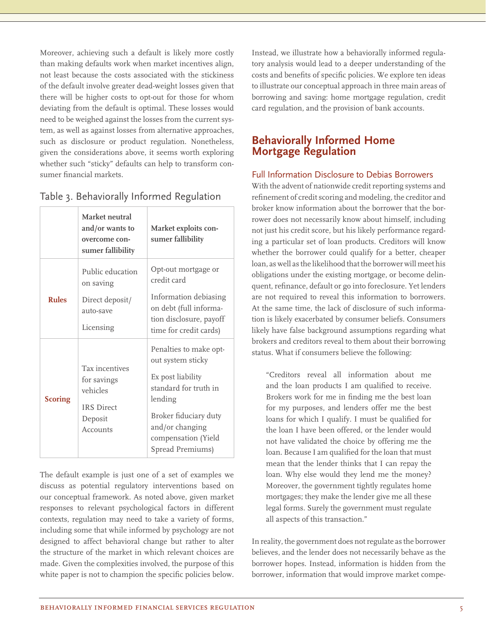Moreover, achieving such a default is likely more costly than making defaults work when market incentives align, not least because the costs associated with the stickiness of the default involve greater dead-weight losses given that there will be higher costs to opt-out for those for whom deviating from the default is optimal. These losses would need to be weighed against the losses from the current system, as well as against losses from alternative approaches, such as disclosure or product regulation. Nonetheless, given the considerations above, it seems worth exploring whether such "sticky" defaults can help to transform consumer financial markets.

|                | Market neutral<br>and/or wants to<br>overcome con-<br>sumer fallibility               | Market exploits con-<br>sumer fallibility                                                                                                                                                   |
|----------------|---------------------------------------------------------------------------------------|---------------------------------------------------------------------------------------------------------------------------------------------------------------------------------------------|
| <b>Rules</b>   | Public education<br>on saving<br>Direct deposit/<br>auto-save<br>Licensing            | Opt-out mortgage or<br>credit card<br>Information debiasing<br>on debt (full informa-<br>tion disclosure, payoff<br>time for credit cards)                                                  |
| <b>Scoring</b> | Tax incentives<br>for savings<br>vehicles<br><b>IRS</b> Direct<br>Deposit<br>Accounts | Penalties to make opt-<br>out system sticky<br>Ex post liability<br>standard for truth in<br>lending<br>Broker fiduciary duty<br>and/or changing<br>compensation (Yield<br>Spread Premiums) |

The default example is just one of a set of examples we discuss as potential regulatory interventions based on our conceptual framework. As noted above, given market responses to relevant psychological factors in different contexts, regulation may need to take a variety of forms, including some that while informed by psychology are not designed to affect behavioral change but rather to alter the structure of the market in which relevant choices are made. Given the complexities involved, the purpose of this white paper is not to champion the specific policies below.

Instead, we illustrate how a behaviorally informed regulatory analysis would lead to a deeper understanding of the costs and benefits of specific policies. We explore ten ideas to illustrate our conceptual approach in three main areas of borrowing and saving: home mortgage regulation, credit card regulation, and the provision of bank accounts.

# **Behaviorally Informed Home Mortgage Regulation**

#### Full Information Disclosure to Debias Borrowers

With the advent of nationwide credit reporting systems and refinement of credit scoring and modeling, the creditor and broker know information about the borrower that the borrower does not necessarily know about himself, including not just his credit score, but his likely performance regarding a particular set of loan products. Creditors will know whether the borrower could qualify for a better, cheaper loan, as well as the likelihood that the borrower will meet his obligations under the existing mortgage, or become delinquent, refinance, default or go into foreclosure. Yet lenders are not required to reveal this information to borrowers. At the same time, the lack of disclosure of such information is likely exacerbated by consumer beliefs. Consumers likely have false background assumptions regarding what brokers and creditors reveal to them about their borrowing status. What if consumers believe the following:

"Creditors reveal all information about me and the loan products I am qualified to receive. Brokers work for me in finding me the best loan for my purposes, and lenders offer me the best loans for which I qualify. I must be qualified for the loan I have been offered, or the lender would not have validated the choice by offering me the loan. Because I am qualified for the loan that must mean that the lender thinks that I can repay the loan. Why else would they lend me the money? Moreover, the government tightly regulates home mortgages; they make the lender give me all these legal forms. Surely the government must regulate all aspects of this transaction."

In reality, the government does not regulate as the borrower believes, and the lender does not necessarily behave as the borrower hopes. Instead, information is hidden from the borrower, information that would improve market compe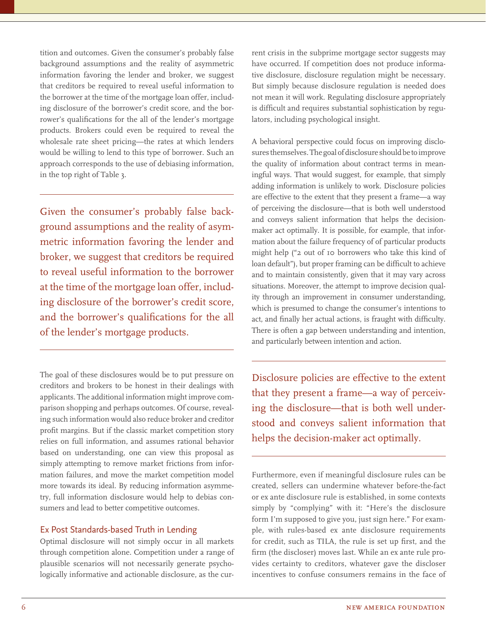tition and outcomes. Given the consumer's probably false background assumptions and the reality of asymmetric information favoring the lender and broker, we suggest that creditors be required to reveal useful information to the borrower at the time of the mortgage loan offer, including disclosure of the borrower's credit score, and the borrower's qualifications for the all of the lender's mortgage products. Brokers could even be required to reveal the wholesale rate sheet pricing—the rates at which lenders would be willing to lend to this type of borrower. Such an approach corresponds to the use of debiasing information, in the top right of Table 3.

Given the consumer's probably false background assumptions and the reality of asymmetric information favoring the lender and broker, we suggest that creditors be required to reveal useful information to the borrower at the time of the mortgage loan offer, including disclosure of the borrower's credit score, and the borrower's qualifications for the all of the lender's mortgage products.

 The goal of these disclosures would be to put pressure on creditors and brokers to be honest in their dealings with relies on full information, and assumes rational behavior mation failures, and move the market competition model applicants. The additional information might improve comparison shopping and perhaps outcomes. Of course, revealing such information would also reduce broker and creditor profit margins. But if the classic market competition story based on understanding, one can view this proposal as simply attempting to remove market frictions from informore towards its ideal. By reducing information asymmetry, full information disclosure would help to debias consumers and lead to better competitive outcomes.

#### Ex Post Standards-based Truth in Lending

Optimal disclosure will not simply occur in all markets through competition alone. Competition under a range of plausible scenarios will not necessarily generate psychologically informative and actionable disclosure, as the current crisis in the subprime mortgage sector suggests may have occurred. If competition does not produce informative disclosure, disclosure regulation might be necessary. But simply because disclosure regulation is needed does not mean it will work. Regulating disclosure appropriately is difficult and requires substantial sophistication by regulators, including psychological insight.

sures themselves. The goal of disclosure should be to improve mation about the failure frequency of of particular products might help ("2 out of 10 borrowers who take this kind of loan default"), but proper framing can be difficult to achieve ity through an improvement in consumer understanding, which is presumed to change the consumer's intentions to and particularly between intention and action. A behavioral perspective could focus on improving disclothe quality of information about contract terms in meaningful ways. That would suggest, for example, that simply adding information is unlikely to work. Disclosure policies are effective to the extent that they present a frame—a way of perceiving the disclosure—that is both well understood and conveys salient information that helps the decisionmaker act optimally. It is possible, for example, that inforand to maintain consistently, given that it may vary across situations. Moreover, the attempt to improve decision qualact, and finally her actual actions, is fraught with difficulty. There is often a gap between understanding and intention,

Disclosure policies are effective to the extent that they present a frame—a way of perceiving the disclosure—that is both well understood and conveys salient information that helps the decision-maker act optimally.

 Furthermore, even if meaningful disclosure rules can be created, sellers can undermine whatever before-the-fact simply by "complying" with it: "Here's the disclosure ple, with rules-based ex ante disclosure requirements for credit, such as TILA, the rule is set up first, and the or ex ante disclosure rule is established, in some contexts form I'm supposed to give you, just sign here." For examfirm (the discloser) moves last. While an ex ante rule provides certainty to creditors, whatever gave the discloser incentives to confuse consumers remains in the face of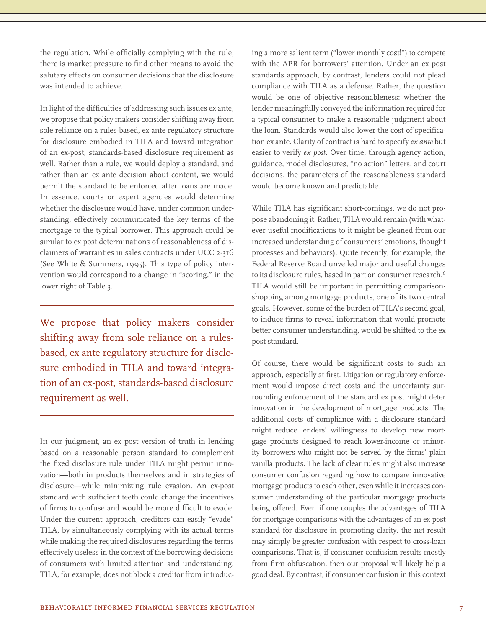the regulation. While officially complying with the rule, there is market pressure to find other means to avoid the salutary effects on consumer decisions that the disclosure was intended to achieve.

In light of the difficulties of addressing such issues ex ante, we propose that policy makers consider shifting away from sole reliance on a rules-based, ex ante regulatory structure for disclosure embodied in TILA and toward integration of an ex-post, standards-based disclosure requirement as well. Rather than a rule, we would deploy a standard, and rather than an ex ante decision about content, we would permit the standard to be enforced after loans are made. In essence, courts or expert agencies would determine whether the disclosure would have, under common understanding, effectively communicated the key terms of the mortgage to the typical borrower. This approach could be similar to ex post determinations of reasonableness of disclaimers of warranties in sales contracts under UCC 2-316 (See White & Summers, 1995). This type of policy intervention would correspond to a change in "scoring," in the lower right of Table 3.

We propose that policy makers consider shifting away from sole reliance on a rulesbased, ex ante regulatory structure for disclosure embodied in TILA and toward integration of an ex-post, standards-based disclosure requirement as well.

In our judgment, an ex post version of truth in lending based on a reasonable person standard to complement the fixed disclosure rule under TILA might permit innovation—both in products themselves and in strategies of disclosure—while minimizing rule evasion. An ex-post standard with sufficient teeth could change the incentives of firms to confuse and would be more difficult to evade. Under the current approach, creditors can easily "evade" TILA, by simultaneously complying with its actual terms while making the required disclosures regarding the terms effectively useless in the context of the borrowing decisions of consumers with limited attention and understanding. TILA, for example, does not block a creditor from introduc-

ing a more salient term ("lower monthly cost!") to compete with the APR for borrowers' attention. Under an ex post standards approach, by contrast, lenders could not plead compliance with TILA as a defense. Rather, the question would be one of objective reasonableness: whether the lender meaningfully conveyed the information required for a typical consumer to make a reasonable judgment about the loan. Standards would also lower the cost of specification ex ante. Clarity of contract is hard to specify *ex ante* but easier to verify *ex post*. Over time, through agency action, guidance, model disclosures, "no action" letters, and court decisions, the parameters of the reasonableness standard would become known and predictable.

While TILA has significant short-comings, we do not propose abandoning it. Rather, TILA would remain (with whatever useful modifications to it might be gleaned from our increased understanding of consumers' emotions, thought processes and behaviors). Quite recently, for example, the Federal Reserve Board unveiled major and useful changes to its disclosure rules, based in part on consumer research.<sup>6</sup> TILA would still be important in permitting comparisonshopping among mortgage products, one of its two central goals. However, some of the burden of TILA's second goal, to induce firms to reveal information that would promote better consumer understanding, would be shifted to the ex post standard.

 Of course, there would be significant costs to such an rounding enforcement of the standard ex post might deter innovation in the development of mortgage products. The additional costs of compliance with a disclosure standard ity borrowers who might not be served by the firms' plain vanilla products. The lack of clear rules might also increase consumer confusion regarding how to compare innovative sumer understanding of the particular mortgage products being offered. Even if one couples the advantages of TILA for mortgage comparisons with the advantages of an ex post standard for disclosure in promoting clarity, the net result may simply be greater confusion with respect to cross-loan comparisons. That is, if consumer confusion results mostly from firm obfuscation, then our proposal will likely help a good deal. By contrast, if consumer confusion in this context approach, especially at first. Litigation or regulatory enforcement would impose direct costs and the uncertainty surmight reduce lenders' willingness to develop new mortgage products designed to reach lower-income or minormortgage products to each other, even while it increases con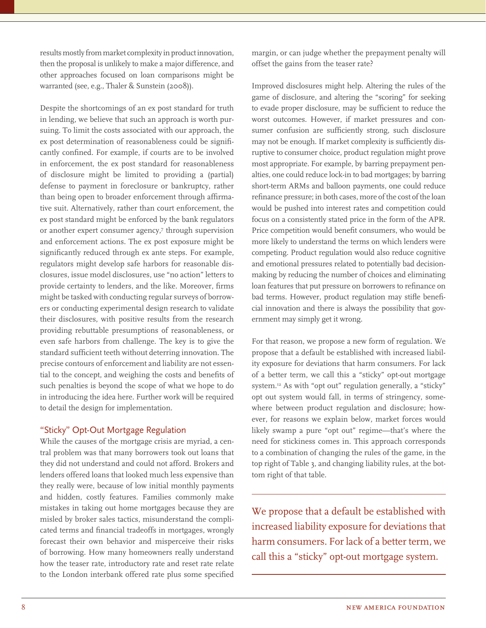results mostly from market complexity in product innovation, then the proposal is unlikely to make a major difference, and other approaches focused on loan comparisons might be warranted (see, e.g., Thaler & Sunstein (2008)).

Despite the shortcomings of an ex post standard for truth in lending, we believe that such an approach is worth pursuing. To limit the costs associated with our approach, the ex post determination of reasonableness could be significantly confined. For example, if courts are to be involved in enforcement, the ex post standard for reasonableness of disclosure might be limited to providing a (partial) defense to payment in foreclosure or bankruptcy, rather than being open to broader enforcement through affirmative suit. Alternatively, rather than court enforcement, the ex post standard might be enforced by the bank regulators or another expert consumer agency,7 through supervision and enforcement actions. The ex post exposure might be significantly reduced through ex ante steps. For example, regulators might develop safe harbors for reasonable disclosures, issue model disclosures, use "no action" letters to provide certainty to lenders, and the like. Moreover, firms might be tasked with conducting regular surveys of borrowers or conducting experimental design research to validate their disclosures, with positive results from the research providing rebuttable presumptions of reasonableness, or even safe harbors from challenge. The key is to give the standard sufficient teeth without deterring innovation. The precise contours of enforcement and liability are not essential to the concept, and weighing the costs and benefits of such penalties is beyond the scope of what we hope to do in introducing the idea here. Further work will be required to detail the design for implementation.

#### "Sticky" Opt-Out Mortgage Regulation

While the causes of the mortgage crisis are myriad, a central problem was that many borrowers took out loans that they did not understand and could not afford. Brokers and lenders offered loans that looked much less expensive than they really were, because of low initial monthly payments and hidden, costly features. Families commonly make mistakes in taking out home mortgages because they are misled by broker sales tactics, misunderstand the complicated terms and financial tradeoffs in mortgages, wrongly forecast their own behavior and misperceive their risks of borrowing. How many homeowners really understand how the teaser rate, introductory rate and reset rate relate to the London interbank offered rate plus some specified margin, or can judge whether the prepayment penalty will offset the gains from the teaser rate?

 Improved disclosures might help. Altering the rules of the game of disclosure, and altering the "scoring" for seeking to evade proper disclosure, may be sufficient to reduce the sumer confusion are sufficiently strong, such disclosure ruptive to consumer choice, product regulation might prove alties, one could reduce lock-in to bad mortgages; by barring focus on a consistently stated price in the form of the APR. making by reducing the number of choices and eliminating worst outcomes. However, if market pressures and conmay not be enough. If market complexity is sufficiently dismost appropriate. For example, by barring prepayment penshort-term ARMs and balloon payments, one could reduce refinance pressure; in both cases, more of the cost of the loan would be pushed into interest rates and competition could Price competition would benefit consumers, who would be more likely to understand the terms on which lenders were competing. Product regulation would also reduce cognitive and emotional pressures related to potentially bad decisionloan features that put pressure on borrowers to refinance on bad terms. However, product regulation may stifle beneficial innovation and there is always the possibility that government may simply get it wrong.

For that reason, we propose a new form of regulation. We propose that a default be established with increased liability exposure for deviations that harm consumers. For lack of a better term, we call this a "sticky" opt-out mortgage system.12 As with "opt out" regulation generally, a "sticky" opt out system would fall, in terms of stringency, somewhere between product regulation and disclosure; however, for reasons we explain below, market forces would likely swamp a pure "opt out" regime—that's where the need for stickiness comes in. This approach corresponds to a combination of changing the rules of the game, in the top right of Table 3, and changing liability rules, at the bottom right of that table.

 We propose that a default be established with increased liability exposure for deviations that harm consumers. For lack of a better term, we call this a "sticky" opt-out mortgage system.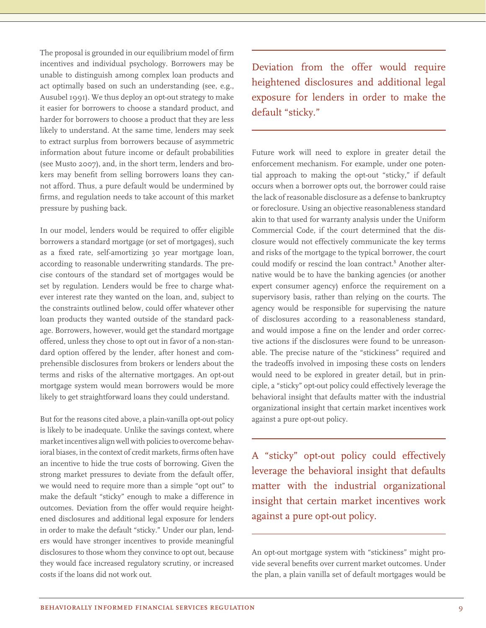The proposal is grounded in our equilibrium model of firm incentives and individual psychology. Borrowers may be unable to distinguish among complex loan products and act optimally based on such an understanding (see, e.g., Ausubel 1991). We thus deploy an opt-out strategy to make it easier for borrowers to choose a standard product, and harder for borrowers to choose a product that they are less likely to understand. At the same time, lenders may seek to extract surplus from borrowers because of asymmetric information about future income or default probabilities (see Musto 2007), and, in the short term, lenders and brokers may benefit from selling borrowers loans they cannot afford. Thus, a pure default would be undermined by firms, and regulation needs to take account of this market pressure by pushing back.

In our model, lenders would be required to offer eligible borrowers a standard mortgage (or set of mortgages), such as a fixed rate, self-amortizing 30 year mortgage loan, according to reasonable underwriting standards. The precise contours of the standard set of mortgages would be set by regulation. Lenders would be free to charge whatever interest rate they wanted on the loan, and, subject to the constraints outlined below, could offer whatever other loan products they wanted outside of the standard package. Borrowers, however, would get the standard mortgage offered, unless they chose to opt out in favor of a non-standard option offered by the lender, after honest and comprehensible disclosures from brokers or lenders about the terms and risks of the alternative mortgages. An opt-out mortgage system would mean borrowers would be more likely to get straightforward loans they could understand.

 But for the reasons cited above, a plain-vanilla opt-out policy is likely to be inadequate. Unlike the savings context, where ioral biases, in the context of credit markets, firms often have strong market pressures to deviate from the default offer, we would need to require more than a simple "opt out" to make the default "sticky" enough to make a difference in ened disclosures and additional legal exposure for lenders ers would have stronger incentives to provide meaningful costs if the loans did not work out. market incentives align well with policies to overcome behavan incentive to hide the true costs of borrowing. Given the outcomes. Deviation from the offer would require heightin order to make the default "sticky." Under our plan, lenddisclosures to those whom they convince to opt out, because they would face increased regulatory scrutiny, or increased

Deviation from the offer would require heightened disclosures and additional legal exposure for lenders in order to make the default "sticky."

Future work will need to explore in greater detail the enforcement mechanism. For example, under one potential approach to making the opt-out "sticky," if default occurs when a borrower opts out, the borrower could raise the lack of reasonable disclosure as a defense to bankruptcy or foreclosure. Using an objective reasonableness standard akin to that used for warranty analysis under the Uniform Commercial Code, if the court determined that the disclosure would not effectively communicate the key terms and risks of the mortgage to the typical borrower, the court could modify or rescind the loan contract.<sup>8</sup> Another alternative would be to have the banking agencies (or another expert consumer agency) enforce the requirement on a supervisory basis, rather than relying on the courts. The agency would be responsible for supervising the nature of disclosures according to a reasonableness standard, and would impose a fine on the lender and order corrective actions if the disclosures were found to be unreasonable. The precise nature of the "stickiness" required and the tradeoffs involved in imposing these costs on lenders would need to be explored in greater detail, but in principle, a "sticky" opt-out policy could effectively leverage the behavioral insight that defaults matter with the industrial organizational insight that certain market incentives work against a pure opt-out policy.

A "sticky" opt-out policy could effectively leverage the behavioral insight that defaults matter with the industrial organizational insight that certain market incentives work against a pure opt-out policy.

An opt-out mortgage system with "stickiness" might provide several benefits over current market outcomes. Under the plan, a plain vanilla set of default mortgages would be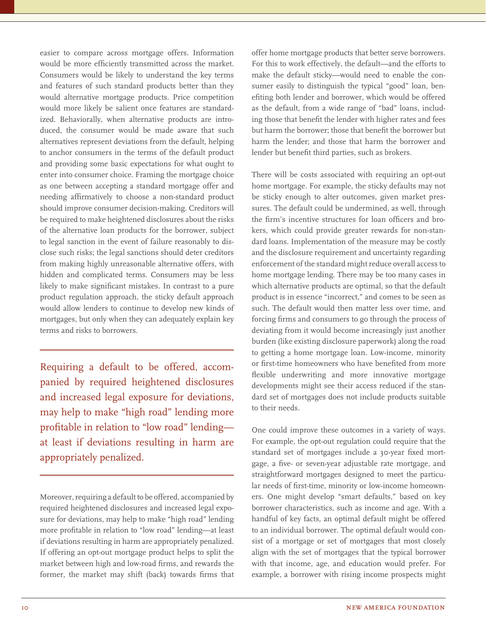easier to compare across mortgage offers. Information would be more efficiently transmitted across the market. Consumers would be likely to understand the key terms and features of such standard products better than they would alternative mortgage products. Price competition would more likely be salient once features are standardized. Behaviorally, when alternative products are introduced, the consumer would be made aware that such alternatives represent deviations from the default, helping to anchor consumers in the terms of the default product and providing some basic expectations for what ought to enter into consumer choice. Framing the mortgage choice as one between accepting a standard mortgage offer and needing affirmatively to choose a non-standard product should improve consumer decision-making. Creditors will be required to make heightened disclosures about the risks of the alternative loan products for the borrower, subject to legal sanction in the event of failure reasonably to disclose such risks; the legal sanctions should deter creditors from making highly unreasonable alternative offers, with hidden and complicated terms. Consumers may be less likely to make significant mistakes. In contrast to a pure product regulation approach, the sticky default approach would allow lenders to continue to develop new kinds of mortgages, but only when they can adequately explain key terms and risks to borrowers.

Requiring a default to be offered, accompanied by required heightened disclosures and increased legal exposure for deviations, may help to make "high road" lending more profitable in relation to "low road" lending at least if deviations resulting in harm are appropriately penalized.

Moreover, requiring a default to be offered, accompanied by required heightened disclosures and increased legal exposure for deviations, may help to make "high road" lending more profitable in relation to "low road" lending—at least if deviations resulting in harm are appropriately penalized. If offering an opt-out mortgage product helps to split the market between high and low-road firms, and rewards the former, the market may shift (back) towards firms that offer home mortgage products that better serve borrowers. For this to work effectively, the default—and the efforts to make the default sticky—would need to enable the consumer easily to distinguish the typical "good" loan, benefiting both lender and borrower, which would be offered as the default, from a wide range of "bad" loans, including those that benefit the lender with higher rates and fees but harm the borrower; those that benefit the borrower but harm the lender; and those that harm the borrower and lender but benefit third parties, such as brokers.

 There will be costs associated with requiring an opt-out home mortgage. For example, the sticky defaults may not sures. The default could be undermined, as well, through dard loans. Implementation of the measure may be costly and the disclosure requirement and uncertainty regarding which alternative products are optimal, so that the default such. The default would then matter less over time, and forcing firms and consumers to go through the process of deviating from it would become increasingly just another or first-time homeowners who have benefited from more flexible underwriting and more innovative mortgage dard set of mortgages does not include products suitable be sticky enough to alter outcomes, given market presthe firm's incentive structures for loan officers and brokers, which could provide greater rewards for non-stanenforcement of the standard might reduce overall access to home mortgage lending. There may be too many cases in product is in essence "incorrect," and comes to be seen as burden (like existing disclosure paperwork) along the road to getting a home mortgage loan. Low-income, minority developments might see their access reduced if the stanto their needs.

One could improve these outcomes in a variety of ways. For example, the opt-out regulation could require that the standard set of mortgages include a 30-year fixed mortgage, a five- or seven-year adjustable rate mortgage, and straightforward mortgages designed to meet the particular needs of first-time, minority or low-income homeowners. One might develop "smart defaults," based on key borrower characteristics, such as income and age. With a handful of key facts, an optimal default might be offered to an individual borrower. The optimal default would consist of a mortgage or set of mortgages that most closely align with the set of mortgages that the typical borrower with that income, age, and education would prefer. For example, a borrower with rising income prospects might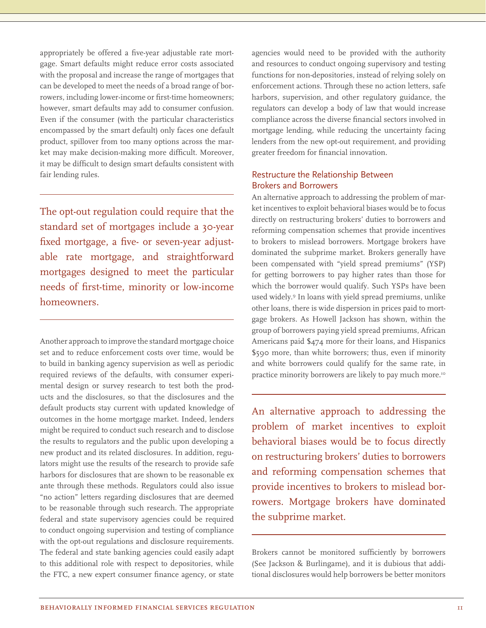appropriately be offered a five-year adjustable rate mortgage. Smart defaults might reduce error costs associated with the proposal and increase the range of mortgages that can be developed to meet the needs of a broad range of borrowers, including lower-income or first-time homeowners; however, smart defaults may add to consumer confusion. Even if the consumer (with the particular characteristics encompassed by the smart default) only faces one default product, spillover from too many options across the market may make decision-making more difficult. Moreover, it may be difficult to design smart defaults consistent with fair lending rules.

The opt-out regulation could require that the standard set of mortgages include a 30-year fixed mortgage, a five- or seven-year adjustable rate mortgage, and straightforward mortgages designed to meet the particular needs of first-time, minority or low-income homeowners.

Another approach to improve the standard mortgage choice set and to reduce enforcement costs over time, would be to build in banking agency supervision as well as periodic required reviews of the defaults, with consumer experimental design or survey research to test both the products and the disclosures, so that the disclosures and the default products stay current with updated knowledge of outcomes in the home mortgage market. Indeed, lenders might be required to conduct such research and to disclose the results to regulators and the public upon developing a new product and its related disclosures. In addition, regulators might use the results of the research to provide safe harbors for disclosures that are shown to be reasonable ex ante through these methods. Regulators could also issue "no action" letters regarding disclosures that are deemed to be reasonable through such research. The appropriate federal and state supervisory agencies could be required to conduct ongoing supervision and testing of compliance with the opt-out regulations and disclosure requirements. The federal and state banking agencies could easily adapt to this additional role with respect to depositories, while the FTC, a new expert consumer finance agency, or state

agencies would need to be provided with the authority and resources to conduct ongoing supervisory and testing functions for non-depositories, instead of relying solely on enforcement actions. Through these no action letters, safe harbors, supervision, and other regulatory guidance, the regulators can develop a body of law that would increase compliance across the diverse financial sectors involved in mortgage lending, while reducing the uncertainty facing lenders from the new opt-out requirement, and providing greater freedom for financial innovation.

#### Restructure the Relationship Between Brokers and Borrowers

An alternative approach to addressing the problem of market incentives to exploit behavioral biases would be to focus directly on restructuring brokers' duties to borrowers and reforming compensation schemes that provide incentives to brokers to mislead borrowers. Mortgage brokers have dominated the subprime market. Brokers generally have been compensated with "yield spread premiums" (YSP) for getting borrowers to pay higher rates than those for which the borrower would qualify. Such YSPs have been used widely.9 In loans with yield spread premiums, unlike other loans, there is wide dispersion in prices paid to mortgage brokers. As Howell Jackson has shown, within the group of borrowers paying yield spread premiums, African Americans paid \$474 more for their loans, and Hispanics \$590 more, than white borrowers; thus, even if minority and white borrowers could qualify for the same rate, in practice minority borrowers are likely to pay much more.<sup>10</sup>

An alternative approach to addressing the problem of market incentives to exploit behavioral biases would be to focus directly on restructuring brokers' duties to borrowers and reforming compensation schemes that provide incentives to brokers to mislead borrowers. Mortgage brokers have dominated the subprime market.

Brokers cannot be monitored sufficiently by borrowers (See Jackson & Burlingame), and it is dubious that additional disclosures would help borrowers be better monitors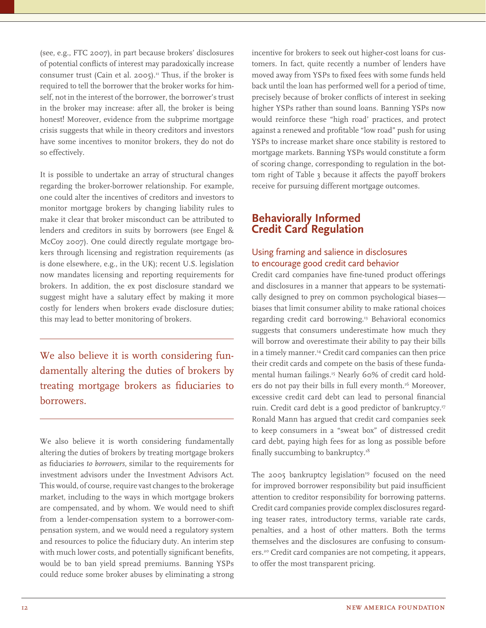(see, e.g., FTC 2007), in part because brokers' disclosures of potential conflicts of interest may paradoxically increase consumer trust (Cain et al. 2005).<sup>11</sup> Thus, if the broker is required to tell the borrower that the broker works for himself, not in the interest of the borrower, the borrower's trust in the broker may increase: after all, the broker is being honest! Moreover, evidence from the subprime mortgage crisis suggests that while in theory creditors and investors have some incentives to monitor brokers, they do not do so effectively.

It is possible to undertake an array of structural changes regarding the broker-borrower relationship. For example, one could alter the incentives of creditors and investors to monitor mortgage brokers by changing liability rules to make it clear that broker misconduct can be attributed to lenders and creditors in suits by borrowers (see Engel & McCoy 2007). One could directly regulate mortgage brokers through licensing and registration requirements (as is done elsewhere, e.g., in the UK); recent U.S. legislation now mandates licensing and reporting requirements for brokers. In addition, the ex post disclosure standard we suggest might have a salutary effect by making it more costly for lenders when brokers evade disclosure duties; this may lead to better monitoring of brokers.

We also believe it is worth considering fundamentally altering the duties of brokers by treating mortgage brokers as fiduciaries to borrowers.

We also believe it is worth considering fundamentally altering the duties of brokers by treating mortgage brokers as fiduciaries *to borrowers*, similar to the requirements for investment advisors under the Investment Advisors Act. This would, of course, require vast changes to the brokerage market, including to the ways in which mortgage brokers are compensated, and by whom. We would need to shift from a lender-compensation system to a borrower-compensation system, and we would need a regulatory system and resources to police the fiduciary duty. An interim step with much lower costs, and potentially significant benefits, would be to ban yield spread premiums. Banning YSPs could reduce some broker abuses by eliminating a strong incentive for brokers to seek out higher-cost loans for customers. In fact, quite recently a number of lenders have moved away from YSPs to fixed fees with some funds held back until the loan has performed well for a period of time, precisely because of broker conflicts of interest in seeking higher YSPs rather than sound loans. Banning YSPs now would reinforce these "high road' practices, and protect against a renewed and profitable "low road" push for using YSPs to increase market share once stability is restored to mortgage markets. Banning YSPs would constitute a form of scoring change, corresponding to regulation in the bottom right of Table 3 because it affects the payoff brokers receive for pursuing different mortgage outcomes.

# **Behaviorally Informed Credit Card Regulation**

# Using framing and salience in disclosures to encourage good credit card behavior

Credit card companies have fine-tuned product offerings and disclosures in a manner that appears to be systematically designed to prey on common psychological biases biases that limit consumer ability to make rational choices regarding credit card borrowing.13 Behavioral economics suggests that consumers underestimate how much they will borrow and overestimate their ability to pay their bills in a timely manner.14 Credit card companies can then price their credit cards and compete on the basis of these fundamental human failings.<sup>15</sup> Nearly 60% of credit card holders do not pay their bills in full every month.<sup>16</sup> Moreover, excessive credit card debt can lead to personal financial ruin. Credit card debt is a good predictor of bankruptcy.<sup>17</sup> Ronald Mann has argued that credit card companies seek to keep consumers in a "sweat box" of distressed credit card debt, paying high fees for as long as possible before finally succumbing to bankruptcy.<sup>18</sup>

The 2005 bankruptcy legislation<sup>19</sup> focused on the need for improved borrower responsibility but paid insufficient attention to creditor responsibility for borrowing patterns. Credit card companies provide complex disclosures regarding teaser rates, introductory terms, variable rate cards, penalties, and a host of other matters. Both the terms themselves and the disclosures are confusing to consumers.20 Credit card companies are not competing, it appears, to offer the most transparent pricing.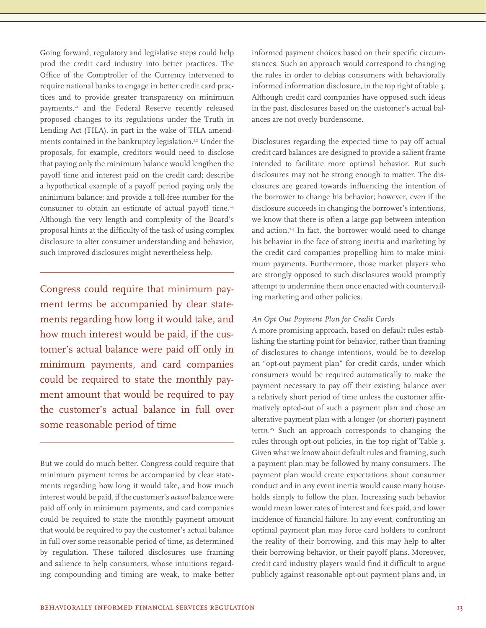Going forward, regulatory and legislative steps could help prod the credit card industry into better practices. The Office of the Comptroller of the Currency intervened to require national banks to engage in better credit card practices and to provide greater transparency on minimum payments,<sup>21</sup> and the Federal Reserve recently released proposed changes to its regulations under the Truth in Lending Act (TILA), in part in the wake of TILA amendments contained in the bankruptcy legislation.<sup>22</sup> Under the proposals, for example, creditors would need to disclose that paying only the minimum balance would lengthen the payoff time and interest paid on the credit card; describe a hypothetical example of a payoff period paying only the minimum balance; and provide a toll-free number for the consumer to obtain an estimate of actual payoff time.<sup>23</sup> Although the very length and complexity of the Board's proposal hints at the difficulty of the task of using complex disclosure to alter consumer understanding and behavior, such improved disclosures might nevertheless help.

Congress could require that minimum payment terms be accompanied by clear statements regarding how long it would take, and how much interest would be paid, if the customer's actual balance were paid off only in minimum payments, and card companies could be required to state the monthly payment amount that would be required to pay the customer's actual balance in full over some reasonable period of time

But we could do much better. Congress could require that minimum payment terms be accompanied by clear statements regarding how long it would take, and how much interest would be paid, if the customer's *actual* balance were paid off only in minimum payments, and card companies could be required to state the monthly payment amount that would be required to pay the customer's actual balance in full over some reasonable period of time, as determined by regulation. These tailored disclosures use framing and salience to help consumers, whose intuitions regarding compounding and timing are weak, to make better

informed payment choices based on their specific circumstances. Such an approach would correspond to changing the rules in order to debias consumers with behaviorally informed information disclosure, in the top right of table 3. Although credit card companies have opposed such ideas in the past, disclosures based on the customer's actual balances are not overly burdensome.

Disclosures regarding the expected time to pay off actual credit card balances are designed to provide a salient frame intended to facilitate more optimal behavior. But such disclosures may not be strong enough to matter. The disclosures are geared towards influencing the intention of the borrower to change his behavior; however, even if the disclosure succeeds in changing the borrower's intentions, we know that there is often a large gap between intention and action.24 In fact, the borrower would need to change his behavior in the face of strong inertia and marketing by the credit card companies propelling him to make minimum payments. Furthermore, those market players who are strongly opposed to such disclosures would promptly attempt to undermine them once enacted with countervailing marketing and other policies.

#### *An Opt Out Payment Plan for Credit Cards*

A more promising approach, based on default rules establishing the starting point for behavior, rather than framing of disclosures to change intentions, would be to develop an "opt-out payment plan" for credit cards, under which consumers would be required automatically to make the payment necessary to pay off their existing balance over a relatively short period of time unless the customer affirmatively opted-out of such a payment plan and chose an alterative payment plan with a longer (or shorter) payment term.25 Such an approach corresponds to changing the rules through opt-out policies, in the top right of Table 3. Given what we know about default rules and framing, such a payment plan may be followed by many consumers. The payment plan would create expectations about consumer conduct and in any event inertia would cause many households simply to follow the plan. Increasing such behavior would mean lower rates of interest and fees paid, and lower incidence of financial failure. In any event, confronting an optimal payment plan may force card holders to confront the reality of their borrowing, and this may help to alter their borrowing behavior, or their payoff plans. Moreover, credit card industry players would find it difficult to argue publicly against reasonable opt-out payment plans and, in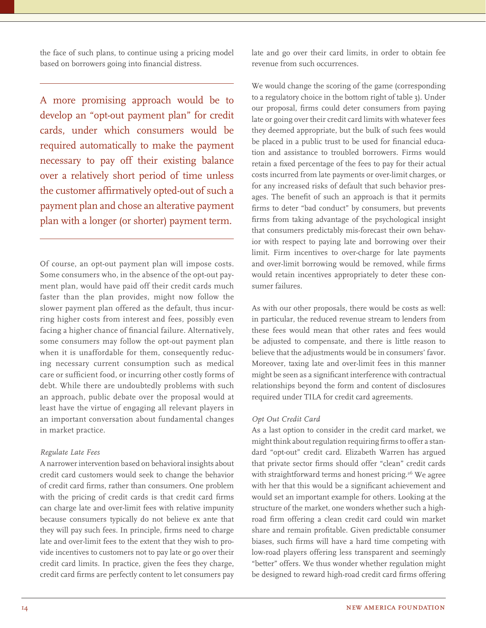the face of such plans, to continue using a pricing model based on borrowers going into financial distress.

 A more promising approach would be to develop an "opt-out payment plan" for credit cards, under which consumers would be required automatically to make the payment over a relatively short period of time unless the customer affirmatively opted-out of such a payment plan and chose an alterative payment necessary to pay off their existing balance plan with a longer (or shorter) payment term.

 ment plan, would have paid off their credit cards much faster than the plan provides, might now follow the ring higher costs from interest and fees, possibly even some consumers may follow the opt-out payment plan ing necessary current consumption such as medical debt. While there are undoubtedly problems with such least have the virtue of engaging all relevant players in an important conversation about fundamental changes Of course, an opt-out payment plan will impose costs. Some consumers who, in the absence of the opt-out payslower payment plan offered as the default, thus incurfacing a higher chance of financial failure. Alternatively, when it is unaffordable for them, consequently reduccare or sufficient food, or incurring other costly forms of an approach, public debate over the proposal would at in market practice.

#### *Regulate Late Fees*

A narrower intervention based on behavioral insights about credit card customers would seek to change the behavior of credit card firms, rather than consumers. One problem with the pricing of credit cards is that credit card firms can charge late and over-limit fees with relative impunity because consumers typically do not believe ex ante that they will pay such fees. In principle, firms need to charge late and over-limit fees to the extent that they wish to provide incentives to customers not to pay late or go over their credit card limits. In practice, given the fees they charge, credit card firms are perfectly content to let consumers pay

late and go over their card limits, in order to obtain fee revenue from such occurrences.

We would change the scoring of the game (corresponding to a regulatory choice in the bottom right of table 3). Under our proposal, firms could deter consumers from paying late or going over their credit card limits with whatever fees they deemed appropriate, but the bulk of such fees would be placed in a public trust to be used for financial education and assistance to troubled borrowers. Firms would retain a fixed percentage of the fees to pay for their actual costs incurred from late payments or over-limit charges, or for any increased risks of default that such behavior presages. The benefit of such an approach is that it permits firms to deter "bad conduct" by consumers, but prevents firms from taking advantage of the psychological insight that consumers predictably mis-forecast their own behavior with respect to paying late and borrowing over their limit. Firm incentives to over-charge for late payments and over-limit borrowing would be removed, while firms would retain incentives appropriately to deter these consumer failures.

As with our other proposals, there would be costs as well: in particular, the reduced revenue stream to lenders from these fees would mean that other rates and fees would be adjusted to compensate, and there is little reason to believe that the adjustments would be in consumers' favor. Moreover, taxing late and over-limit fees in this manner might be seen as a significant interference with contractual relationships beyond the form and content of disclosures required under TILA for credit card agreements.

#### *Opt Out Credit Card*

As a last option to consider in the credit card market, we might think about regulation requiring firms to offer a standard "opt-out" credit card. Elizabeth Warren has argued that private sector firms should offer "clean" credit cards with straightforward terms and honest pricing.<sup>26</sup> We agree with her that this would be a significant achievement and would set an important example for others. Looking at the structure of the market, one wonders whether such a highroad firm offering a clean credit card could win market share and remain profitable. Given predictable consumer biases, such firms will have a hard time competing with low-road players offering less transparent and seemingly "better" offers. We thus wonder whether regulation might be designed to reward high-road credit card firms offering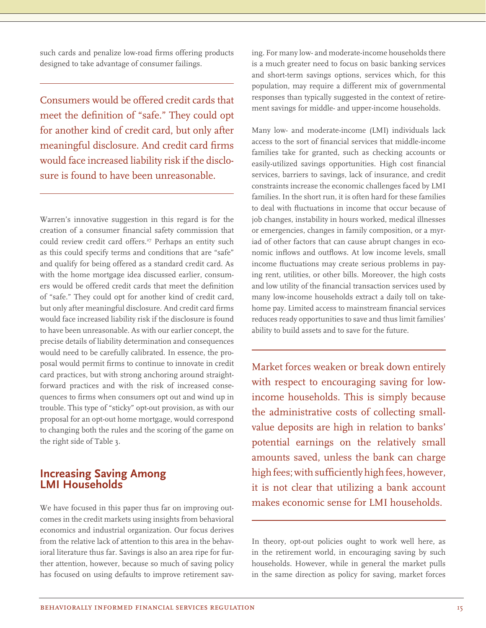such cards and penalize low-road firms offering products designed to take advantage of consumer failings.

 Consumers would be offered credit cards that meet the definition of "safe." They could opt meaningful disclosure. And credit card firms for another kind of credit card, but only after would face increased liability risk if the disclosure is found to have been unreasonable.

Warren's innovative suggestion in this regard is for the creation of a consumer financial safety commission that could review credit card offers.<sup>27</sup> Perhaps an entity such as this could specify terms and conditions that are "safe" and qualify for being offered as a standard credit card. As with the home mortgage idea discussed earlier, consumers would be offered credit cards that meet the definition of "safe." They could opt for another kind of credit card, but only after meaningful disclosure. And credit card firms would face increased liability risk if the disclosure is found to have been unreasonable. As with our earlier concept, the precise details of liability determination and consequences would need to be carefully calibrated. In essence, the proposal would permit firms to continue to innovate in credit card practices, but with strong anchoring around straightforward practices and with the risk of increased consequences to firms when consumers opt out and wind up in trouble. This type of "sticky" opt-out provision, as with our proposal for an opt-out home mortgage, would correspond to changing both the rules and the scoring of the game on the right side of Table 3.

# **Increasing Saving Among LMI Households**

We have focused in this paper thus far on improving outcomes in the credit markets using insights from behavioral economics and industrial organization. Our focus derives from the relative lack of attention to this area in the behavioral literature thus far. Savings is also an area ripe for further attention, however, because so much of saving policy has focused on using defaults to improve retirement saving. For many low- and moderate-income households there is a much greater need to focus on basic banking services and short-term savings options, services which, for this population, may require a different mix of governmental responses than typically suggested in the context of retirement savings for middle- and upper-income households.

Many low- and moderate-income (LMI) individuals lack access to the sort of financial services that middle-income families take for granted, such as checking accounts or easily-utilized savings opportunities. High cost financial services, barriers to savings, lack of insurance, and credit constraints increase the economic challenges faced by LMI families. In the short run, it is often hard for these families to deal with fluctuations in income that occur because of job changes, instability in hours worked, medical illnesses or emergencies, changes in family composition, or a myriad of other factors that can cause abrupt changes in economic inflows and outflows. At low income levels, small income fluctuations may create serious problems in paying rent, utilities, or other bills. Moreover, the high costs and low utility of the financial transaction services used by many low-income households extract a daily toll on takehome pay. Limited access to mainstream financial services reduces ready opportunities to save and thus limit families' ability to build assets and to save for the future.

Market forces weaken or break down entirely with respect to encouraging saving for lowincome households. This is simply because the administrative costs of collecting smallvalue deposits are high in relation to banks' potential earnings on the relatively small amounts saved, unless the bank can charge high fees; with sufficiently high fees, however, it is not clear that utilizing a bank account makes economic sense for LMI households.

In theory, opt-out policies ought to work well here, as in the retirement world, in encouraging saving by such households. However, while in general the market pulls in the same direction as policy for saving, market forces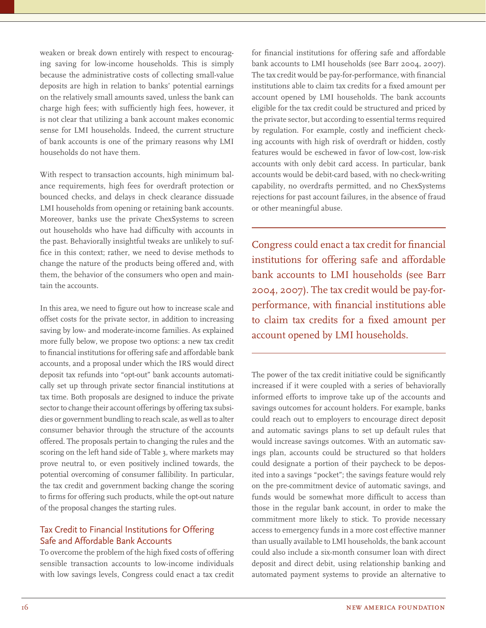weaken or break down entirely with respect to encouraging saving for low-income households. This is simply because the administrative costs of collecting small-value deposits are high in relation to banks' potential earnings on the relatively small amounts saved, unless the bank can charge high fees; with sufficiently high fees, however, it is not clear that utilizing a bank account makes economic sense for LMI households. Indeed, the current structure of bank accounts is one of the primary reasons why LMI households do not have them.

With respect to transaction accounts, high minimum balance requirements, high fees for overdraft protection or bounced checks, and delays in check clearance dissuade LMI households from opening or retaining bank accounts. Moreover, banks use the private ChexSystems to screen out households who have had difficulty with accounts in the past. Behaviorally insightful tweaks are unlikely to suffice in this context; rather, we need to devise methods to change the nature of the products being offered and, with them, the behavior of the consumers who open and maintain the accounts.

 In this area, we need to figure out how to increase scale and more fully below, we propose two options: a new tax credit cally set up through private sector financial institutions at dies or government bundling to reach scale, as well as to alter consumer behavior through the structure of the accounts offered. The proposals pertain to changing the rules and the prove neutral to, or even positively inclined towards, the potential overcoming of consumer fallibility. In particular, the tax credit and government backing change the scoring to firms for offering such products, while the opt-out nature offset costs for the private sector, in addition to increasing saving by low- and moderate-income families. As explained to financial institutions for offering safe and affordable bank accounts, and a proposal under which the IRS would direct deposit tax refunds into "opt-out" bank accounts automatitax time. Both proposals are designed to induce the private sector to change their account offerings by offering tax subsiscoring on the left hand side of Table 3, where markets may of the proposal changes the starting rules.

### Tax Credit to Financial Institutions for Offering Safe and Affordable Bank Accounts

To overcome the problem of the high fixed costs of offering sensible transaction accounts to low-income individuals with low savings levels, Congress could enact a tax credit for financial institutions for offering safe and affordable bank accounts to LMI households (see Barr 2004, 2007). The tax credit would be pay-for-performance, with financial institutions able to claim tax credits for a fixed amount per account opened by LMI households. The bank accounts eligible for the tax credit could be structured and priced by the private sector, but according to essential terms required by regulation. For example, costly and inefficient checking accounts with high risk of overdraft or hidden, costly features would be eschewed in favor of low-cost, low-risk accounts with only debit card access. In particular, bank accounts would be debit-card based, with no check-writing capability, no overdrafts permitted, and no ChexSystems rejections for past account failures, in the absence of fraud or other meaningful abuse.

Congress could enact a tax credit for financial institutions for offering safe and affordable bank accounts to LMI households (see Barr 2004, 2007). The tax credit would be pay-forperformance, with financial institutions able to claim tax credits for a fixed amount per account opened by LMI households.

The power of the tax credit initiative could be significantly increased if it were coupled with a series of behaviorally informed efforts to improve take up of the accounts and savings outcomes for account holders. For example, banks could reach out to employers to encourage direct deposit and automatic savings plans to set up default rules that would increase savings outcomes. With an automatic savings plan, accounts could be structured so that holders could designate a portion of their paycheck to be deposited into a savings "pocket"; the savings feature would rely on the pre-commitment device of automatic savings, and funds would be somewhat more difficult to access than those in the regular bank account, in order to make the commitment more likely to stick. To provide necessary access to emergency funds in a more cost effective manner than usually available to LMI households, the bank account could also include a six-month consumer loan with direct deposit and direct debit, using relationship banking and automated payment systems to provide an alternative to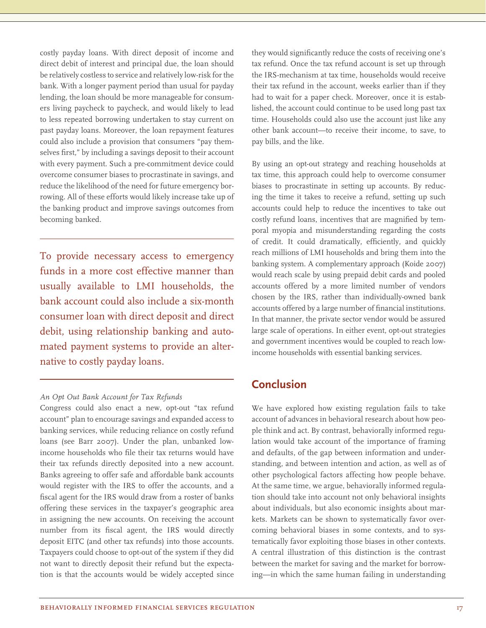costly payday loans. With direct deposit of income and direct debit of interest and principal due, the loan should be relatively costless to service and relatively low-risk for the bank. With a longer payment period than usual for payday lending, the loan should be more manageable for consumers living paycheck to paycheck, and would likely to lead to less repeated borrowing undertaken to stay current on past payday loans. Moreover, the loan repayment features could also include a provision that consumers "pay themselves first," by including a savings deposit to their account with every payment. Such a pre-commitment device could overcome consumer biases to procrastinate in savings, and reduce the likelihood of the need for future emergency borrowing. All of these efforts would likely increase take up of the banking product and improve savings outcomes from becoming banked.

To provide necessary access to emergency funds in a more cost effective manner than usually available to LMI households, the bank account could also include a six-month consumer loan with direct deposit and direct debit, using relationship banking and automated payment systems to provide an alternative to costly payday loans.

#### *An Opt Out Bank Account for Tax Refunds*

Congress could also enact a new, opt-out "tax refund account" plan to encourage savings and expanded access to banking services, while reducing reliance on costly refund loans (see Barr 2007). Under the plan, unbanked lowincome households who file their tax returns would have their tax refunds directly deposited into a new account. Banks agreeing to offer safe and affordable bank accounts would register with the IRS to offer the accounts, and a fiscal agent for the IRS would draw from a roster of banks offering these services in the taxpayer's geographic area in assigning the new accounts. On receiving the account number from its fiscal agent, the IRS would directly deposit EITC (and other tax refunds) into those accounts. Taxpayers could choose to opt-out of the system if they did not want to directly deposit their refund but the expectation is that the accounts would be widely accepted since

they would significantly reduce the costs of receiving one's tax refund. Once the tax refund account is set up through the IRS-mechanism at tax time, households would receive their tax refund in the account, weeks earlier than if they had to wait for a paper check. Moreover, once it is established, the account could continue to be used long past tax time. Households could also use the account just like any other bank account—to receive their income, to save, to pay bills, and the like.

 By using an opt-out strategy and reaching households at tax time, this approach could help to overcome consumer accounts could help to reduce the incentives to take out of credit. It could dramatically, efficiently, and quickly reach millions of LMI households and bring them into the would reach scale by using prepaid debit cards and pooled accounts offered by a more limited number of vendors chosen by the IRS, rather than individually-owned bank accounts offered by a large number of financial institutions. large scale of operations. In either event, opt-out strategies biases to procrastinate in setting up accounts. By reducing the time it takes to receive a refund, setting up such costly refund loans, incentives that are magnified by temporal myopia and misunderstanding regarding the costs banking system. A complementary approach (Koide 2007) In that manner, the private sector vendor would be assured and government incentives would be coupled to reach lowincome households with essential banking services.

# **Conclusion**

 We have explored how existing regulation fails to take lation would take account of the importance of framing standing, and between intention and action, as well as of other psychological factors affecting how people behave. tematically favor exploiting those biases in other contexts. ing—in which the same human failing in understanding account of advances in behavioral research about how people think and act. By contrast, behaviorally informed reguand defaults, of the gap between information and under-At the same time, we argue, behaviorally informed regulation should take into account not only behavioral insights about individuals, but also economic insights about markets. Markets can be shown to systematically favor overcoming behavioral biases in some contexts, and to sys-A central illustration of this distinction is the contrast between the market for saving and the market for borrow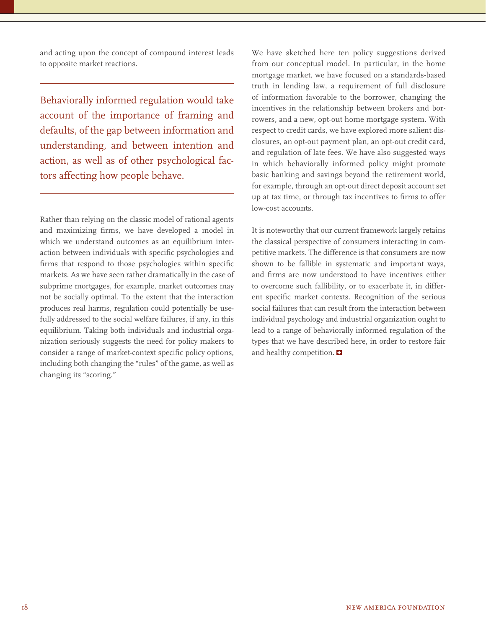and acting upon the concept of compound interest leads to opposite market reactions.

Behaviorally informed regulation would take account of the importance of framing and defaults, of the gap between information and understanding, and between intention and action, as well as of other psychological factors affecting how people behave.

Rather than relying on the classic model of rational agents and maximizing firms, we have developed a model in which we understand outcomes as an equilibrium interaction between individuals with specific psychologies and firms that respond to those psychologies within specific markets. As we have seen rather dramatically in the case of subprime mortgages, for example, market outcomes may not be socially optimal. To the extent that the interaction produces real harms, regulation could potentially be usefully addressed to the social welfare failures, if any, in this equilibrium. Taking both individuals and industrial organization seriously suggests the need for policy makers to consider a range of market-context specific policy options, including both changing the "rules" of the game, as well as changing its "scoring."

 from our conceptual model. In particular, in the home mortgage market, we have focused on a standards-based rowers, and a new, opt-out home mortgage system. With and regulation of late fees. We have also suggested ways in which behaviorally informed policy might promote for example, through an opt-out direct deposit account set up at tax time, or through tax incentives to firms to offer We have sketched here ten policy suggestions derived truth in lending law, a requirement of full disclosure of information favorable to the borrower, changing the incentives in the relationship between brokers and borrespect to credit cards, we have explored more salient disclosures, an opt-out payment plan, an opt-out credit card, basic banking and savings beyond the retirement world, low-cost accounts.

It is noteworthy that our current framework largely retains the classical perspective of consumers interacting in competitive markets. The difference is that consumers are now shown to be fallible in systematic and important ways, and firms are now understood to have incentives either to overcome such fallibility, or to exacerbate it, in different specific market contexts. Recognition of the serious social failures that can result from the interaction between individual psychology and industrial organization ought to lead to a range of behaviorally informed regulation of the types that we have described here, in order to restore fair and healthy competition.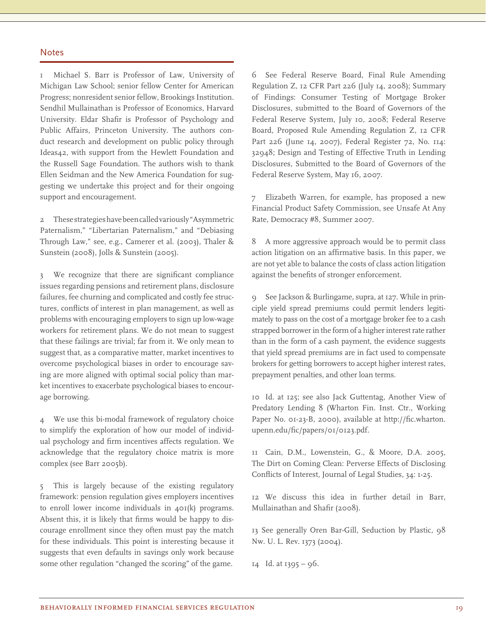#### **Notes**

1 Michael S. Barr is Professor of Law, University of Michigan Law School; senior fellow Center for American Progress; nonresident senior fellow, Brookings Institution. Sendhil Mullainathan is Professor of Economics, Harvard University. Eldar Shafir is Professor of Psychology and Public Affairs, Princeton University. The authors conduct research and development on public policy through Ideas42, with support from the Hewlett Foundation and the Russell Sage Foundation. The authors wish to thank Ellen Seidman and the New America Foundation for suggesting we undertake this project and for their ongoing support and encouragement.

2 These strategies have been called variously "Asymmetric Paternalism," "Libertarian Paternalism," and "Debiasing Through Law," see, e.g., Camerer et al. (2003), Thaler & Sunstein (2008), Jolls & Sunstein (2005).

3 We recognize that there are significant compliance issues regarding pensions and retirement plans, disclosure failures, fee churning and complicated and costly fee structures, conflicts of interest in plan management, as well as problems with encouraging employers to sign up low-wage workers for retirement plans. We do not mean to suggest that these failings are trivial; far from it. We only mean to suggest that, as a comparative matter, market incentives to overcome psychological biases in order to encourage saving are more aligned with optimal social policy than market incentives to exacerbate psychological biases to encourage borrowing.

4 We use this bi-modal framework of regulatory choice to simplify the exploration of how our model of individual psychology and firm incentives affects regulation. We acknowledge that the regulatory choice matrix is more complex (see Barr 2005b).

5 This is largely because of the existing regulatory framework: pension regulation gives employers incentives to enroll lower income individuals in 401(k) programs. Absent this, it is likely that firms would be happy to discourage enrollment since they often must pay the match for these individuals. This point is interesting because it suggests that even defaults in savings only work because some other regulation "changed the scoring" of the game.

6 See Federal Reserve Board, Final Rule Amending Regulation Z, 12 CFR Part 226 (July 14, 2008); Summary of Findings: Consumer Testing of Mortgage Broker Disclosures, submitted to the Board of Governors of the Federal Reserve System, July 10, 2008; Federal Reserve Board, Proposed Rule Amending Regulation Z, 12 CFR Part 226 (June 14, 2007), Federal Register 72, No. 114: 32948; Design and Testing of Effective Truth in Lending Disclosures, Submitted to the Board of Governors of the Federal Reserve System, May 16, 2007.

7 Elizabeth Warren, for example, has proposed a new Financial Product Safety Commission, see Unsafe At Any Rate, Democracy #8, Summer 2007.

8 A more aggressive approach would be to permit class action litigation on an affirmative basis. In this paper, we are not yet able to balance the costs of class action litigation against the benefits of stronger enforcement.

 mately to pass on the cost of a mortgage broker fee to a cash 9 See Jackson & Burlingame, supra, at 127. While in principle yield spread premiums could permit lenders legitistrapped borrower in the form of a higher interest rate rather than in the form of a cash payment, the evidence suggests that yield spread premiums are in fact used to compensate brokers for getting borrowers to accept higher interest rates, prepayment penalties, and other loan terms.

10 Id. at 125; see also Jack Guttentag, Another View of Predatory Lending 8 (Wharton Fin. Inst. Ctr., Working Paper No. 01-23-B, 2000), available at http://fic.wharton. upenn.edu/fic/papers/01/0123.pdf.

11 Cain, D.M., Lowenstein, G., & Moore, D.A. 2005, The Dirt on Coming Clean: Perverse Effects of Disclosing Conflicts of Interest, Journal of Legal Studies, 34: 1-25.

12 We discuss this idea in further detail in Barr, Mullainathan and Shafir (2008).

13 See generally Oren Bar-Gill, Seduction by Plastic, 98 Nw. U. L. Rev. 1373 (2004).

14 Id. at 1395 – 96.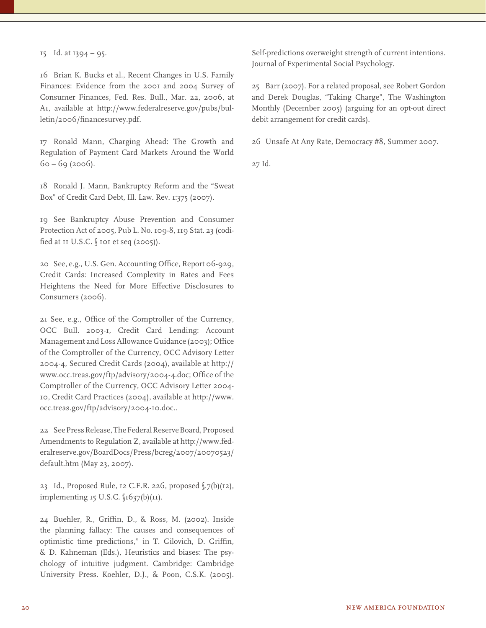15 Id. at 1394 – 95.

16 Brian K. Bucks et al., Recent Changes in U.S. Family Finances: Evidence from the 2001 and 2004 Survey of Consumer Finances, Fed. Res. Bull., Mar. 22, 2006, at A1, available at http://www.federalreserve.gov/pubs/bulletin/2006/financesurvey.pdf.

17 Ronald Mann, Charging Ahead: The Growth and Regulation of Payment Card Markets Around the World  $60 - 69$  (2006).

18 Ronald J. Mann, Bankruptcy Reform and the "Sweat Box" of Credit Card Debt, Ill. Law. Rev. 1:375 (2007).

19 See Bankruptcy Abuse Prevention and Consumer Protection Act of 2005, Pub L. No. 109-8, 119 Stat. 23 (codified at  $II$  U.S.C.  $\int$  101 et seq (2005)).

20 See, e.g., U.S. Gen. Accounting Office, Report 06-929, Credit Cards: Increased Complexity in Rates and Fees Heightens the Need for More Effective Disclosures to Consumers (2006).

 21 See, e.g., Office of the Comptroller of the Currency, OCC Bull. 2003-1, Credit Card Lending: Account of the Comptroller of the Currency, OCC Advisory Letter www.occ.treas.gov/ftp/advisory/2004-4.doc; Office of the Management and Loss Allowance Guidance (2003); Office 2004-4, Secured Credit Cards (2004), available at http:// Comptroller of the Currency, OCC Advisory Letter 2004- 10, Credit Card Practices (2004), available at http://www. occ.treas.gov/ftp/advisory/2004-10.doc..

22 See Press Release, The Federal Reserve Board, Proposed Amendments to Regulation Z, available at http://www.federalreserve.gov/BoardDocs/Press/bcreg/2007/20070523/ default.htm (May 23, 2007).

23 Id., Proposed Rule, 12 C.F.R. 226, proposed §.7(b)(12), implementing 15 U.S.C. §1637(b)(11).

24 Buehler, R., Griffin, D., & Ross, M. (2002). Inside the planning fallacy: The causes and consequences of optimistic time predictions," in T. Gilovich, D. Griffin, & D. Kahneman (Eds.), Heuristics and biases: The psychology of intuitive judgment. Cambridge: Cambridge University Press. Koehler, D.J., & Poon, C.S.K. (2005).

Self-predictions overweight strength of current intentions. Journal of Experimental Social Psychology.

25 Barr (2007). For a related proposal, see Robert Gordon and Derek Douglas, "Taking Charge", The Washington Monthly (December 2005) (arguing for an opt-out direct debit arrangement for credit cards).

26 Unsafe At Any Rate, Democracy #8, Summer 2007.

27 Id.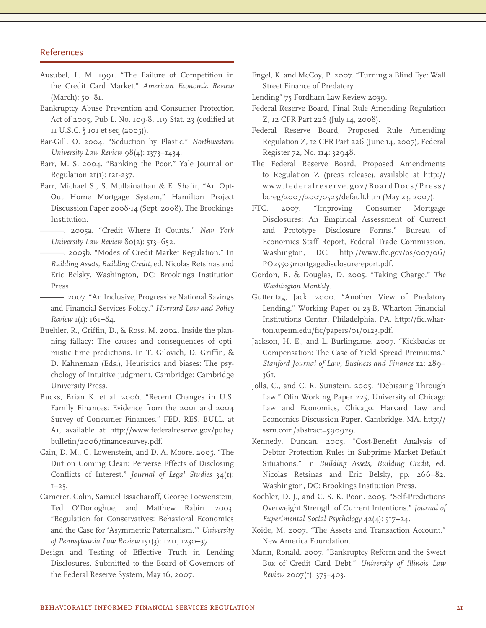#### References

- Ausubel, L. M. 1991. "The Failure of Competition in the Credit Card Market." *American Economic Review*  (March): 50–81.
- Bankruptcy Abuse Prevention and Consumer Protection Act of 2005, Pub L. No. 109-8, 119 Stat. 23 (codified at 11 U.S.C. § 101 et seq (2005)).
- Bar-Gill, O. 2004. "Seduction by Plastic." *Northwestern University Law Review* 98(4): 1373–1434.
- Barr, M. S. 2004. "Banking the Poor." Yale Journal on Regulation  $2I(I)$ :  $I2I-237$ .
- Barr, Michael S., S. Mullainathan & E. Shafir, "An Opt-Out Home Mortgage System," Hamilton Project Discussion Paper 2008-14 (Sept. 2008), The Brookings Institution.
- ———. 2005a. "Credit Where It Counts." *New York University Law Review* 80(2): 513–652.
- ———. 2005b. "Modes of Credit Market Regulation." In *Building Assets, Building Credit*, ed. Nicolas Retsinas and Eric Belsky. Washington, DC: Brookings Institution Press.

———. 2007. "An Inclusive, Progressive National Savings and Financial Services Policy." *Harvard Law and Policy Review* 1(1): 161–84.

- Buehler, R., Griffin, D., & Ross, M. 2002. Inside the planning fallacy: The causes and consequences of optimistic time predictions. In T. Gilovich, D. Griffin, & D. Kahneman (Eds.), Heuristics and biases: The psychology of intuitive judgment. Cambridge: Cambridge University Press.
- Bucks, Brian K. et al. 2006. "Recent Changes in U.S. Family Finances: Evidence from the 2001 and 2004 Survey of Consumer Finances." FED. RES. BULL. at A1, available at http://www.federalreserve.gov/pubs/ bulletin/2006/financesurvey.pdf.
- Cain, D. M., G. Lowenstein, and D. A. Moore. 2005. "The Dirt on Coming Clean: Perverse Effects of Disclosing Conflicts of Interest." *Journal of Legal Studies* 34(1):  $I-25$ .
- Camerer, Colin, Samuel Issacharoff, George Loewenstein, Ted O'Donoghue, and Matthew Rabin. 2003. "Regulation for Conservatives: Behavioral Economics and the Case for 'Asymmetric Paternalism.'" *University of Pennsylvania Law Review* 151(3): 1211, 1230–37.
- Design and Testing of Effective Truth in Lending Disclosures, Submitted to the Board of Governors of the Federal Reserve System, May 16, 2007.

Engel, K. and McCoy, P. 2007. "Turning a Blind Eye: Wall Street Finance of Predatory

Lending" 75 Fordham Law Review 2039.

- Federal Reserve Board, Final Rule Amending Regulation Z, 12 CFR Part 226 (July 14, 2008).
- Federal Reserve Board, Proposed Rule Amending Regulation Z, 12 CFR Part 226 (June 14, 2007), Federal Register 72, No. 114: 32948.
- The Federal Reserve Board, Proposed Amendments to Regulation Z (press release), available at http:// www.federalreserve.gov/BoardDocs/Press / bcreg/2007/20070523/default.htm (May 23, 2007).
- FTC. 2007. "Improving Consumer Mortgage Disclosures: An Empirical Assessment of Current and Prototype Disclosure Forms." Bureau of Economics Staff Report, Federal Trade Commission, Washington, DC. http://www.ftc.gov/os/007/06/ PO25505mortgagedisclosurereport.pdf.
- Gordon, R. & Douglas, D. 2005. "Taking Charge." *The Washington Monthly*.
- Guttentag, Jack. 2000. "Another View of Predatory Lending." Working Paper 01-23-B, Wharton Financial Institutions Center, Philadelphia, PA. http://fic.wharton.upenn.edu/fic/papers/01/0123.pdf.
- Jackson, H. E., and L. Burlingame. 2007. "Kickbacks or Compensation: The Case of Yield Spread Premiums." *Stanford Journal of Law, Business and Finance* 12: 289– 361.
- Jolls, C., and C. R. Sunstein. 2005. "Debiasing Through Law." Olin Working Paper 225, University of Chicago Law and Economics, Chicago. Harvard Law and Economics Discussion Paper, Cambridge, MA. http:// ssrn.com/abstract=590929.
- Kennedy, Duncan. 2005. "Cost-Benefit Analysis of Debtor Protection Rules in Subprime Market Default Situations." In *Building Assets, Building Credit*, ed. Nicolas Retsinas and Eric Belsky, pp. 266–82. Washington, DC: Brookings Institution Press.
- Koehler, D. J., and C. S. K. Poon. 2005. "Self-Predictions Overweight Strength of Current Intentions." *Journal of Experimental Social Psychology* 42(4): 517–24.
- Koide, M. 2007. "The Assets and Transaction Account," New America Foundation.
- Mann, Ronald. 2007. "Bankruptcy Reform and the Sweat Box of Credit Card Debt." *University of Illinois Law Review* 2007(1): 375–403.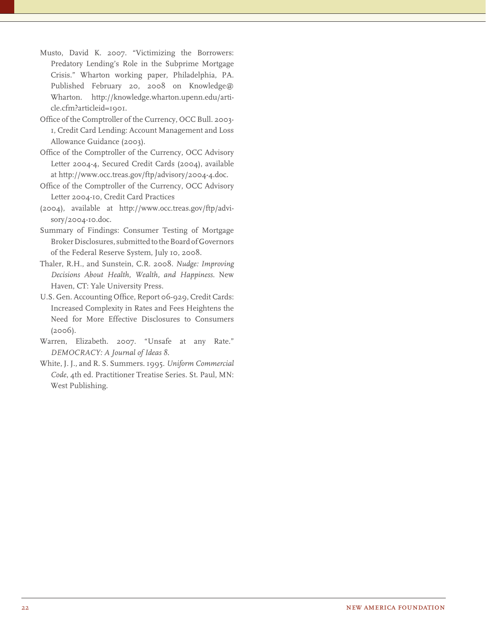- Musto, David K. 2007. "Victimizing the Borrowers: Predatory Lending's Role in the Subprime Mortgage Crisis." Wharton working paper, Philadelphia, PA. Published February 20, 2008 on Knowledge@ Wharton. http://knowledge.wharton.upenn.edu/article.cfm?articleid=1901.
- Office of the Comptroller of the Currency, OCC Bull. 2003- 1, Credit Card Lending: Account Management and Loss Allowance Guidance (2003).
- Office of the Comptroller of the Currency, OCC Advisory Letter 2004-4, Secured Credit Cards (2004), available at http://www.occ.treas.gov/ftp/advisory/2004-4.doc.
- Office of the Comptroller of the Currency, OCC Advisory Letter 2004-10, Credit Card Practices
- (2004), available at http://www.occ.treas.gov/ftp/advisory/2004-10.doc.
- Summary of Findings: Consumer Testing of Mortgage Broker Disclosures, submitted to the Board of Governors of the Federal Reserve System, July 10, 2008.
- Thaler, R.H., and Sunstein, C.R. 2008. *Nudge: Improving Decisions About Health, Wealth, and Happiness*. New Haven, CT: Yale University Press.
- U.S. Gen. Accounting Office, Report 06-929, Credit Cards: Increased Complexity in Rates and Fees Heightens the Need for More Effective Disclosures to Consumers (2006).
- Warren, Elizabeth. 2007. "Unsafe at any Rate." *DEMOCRACY: A Journal of Ideas 8*.
- White, J. J., and R. S. Summers. 1995. *Uniform Commercial Code*, 4th ed. Practitioner Treatise Series. St. Paul, MN: West Publishing.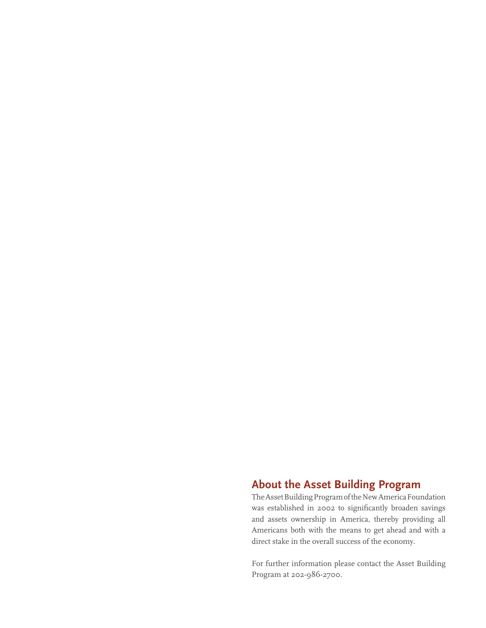# **About the Asset Building Program**

The Asset Building Program of the New America Foundation was established in 2002 to significantly broaden savings and assets ownership in America, thereby providing all direct stake in the overall success of the economy. Americans both with the means to get ahead and with a

For further information please contact the Asset Building Program at 202-986-2700.